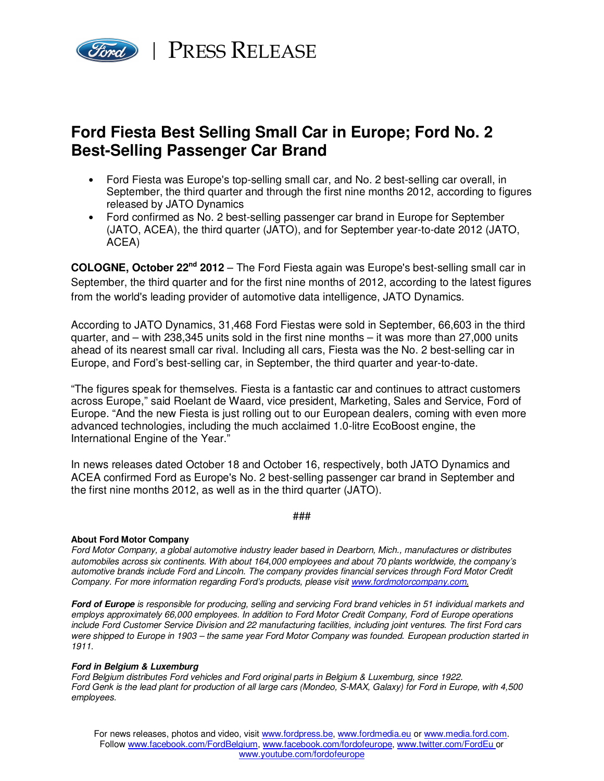

## **Ford Fiesta Best Selling Small Car in Europe; Ford No. 2 Best-Selling Passenger Car Brand**

- Ford Fiesta was Europe's top-selling small car, and No. 2 best-selling car overall, in September, the third quarter and through the first nine months 2012, according to figures released by JATO Dynamics
- Ford confirmed as No. 2 best-selling passenger car brand in Europe for September (JATO, ACEA), the third quarter (JATO), and for September year-to-date 2012 (JATO, ACEA)

**COLOGNE, October 22nd 2012** – The Ford Fiesta again was Europe's best-selling small car in September, the third quarter and for the first nine months of 2012, according to the latest figures from the world's leading provider of automotive data intelligence, JATO Dynamics.

According to JATO Dynamics, 31,468 Ford Fiestas were sold in September, 66,603 in the third quarter, and – with 238,345 units sold in the first nine months – it was more than 27,000 units ahead of its nearest small car rival. Including all cars, Fiesta was the No. 2 best-selling car in Europe, and Ford's best-selling car, in September, the third quarter and year-to-date.

"The figures speak for themselves. Fiesta is a fantastic car and continues to attract customers across Europe," said Roelant de Waard, vice president, Marketing, Sales and Service, Ford of Europe. "And the new Fiesta is just rolling out to our European dealers, coming with even more advanced technologies, including the much acclaimed 1.0-litre EcoBoost engine, the International Engine of the Year."

In news releases dated October 18 and October 16, respectively, both JATO Dynamics and ACEA confirmed Ford as Europe's No. 2 best-selling passenger car brand in September and the first nine months 2012, as well as in the third quarter (JATO).

###

## **About Ford Motor Company**

Ford Motor Company, a global automotive industry leader based in Dearborn, Mich., manufactures or distributes automobiles across six continents. With about 164,000 employees and about 70 plants worldwide, the company's automotive brands include Ford and Lincoln. The company provides financial services through Ford Motor Credit Company. For more information regarding Ford's products, please visit www.fordmotorcompany.com.

**Ford of Europe** is responsible for producing, selling and servicing Ford brand vehicles in 51 individual markets and employs approximately 66,000 employees. In addition to Ford Motor Credit Company, Ford of Europe operations include Ford Customer Service Division and 22 manufacturing facilities, including joint ventures. The first Ford cars were shipped to Europe in 1903 – the same year Ford Motor Company was founded. European production started in 1911.

## **Ford in Belgium & Luxemburg**

Ford Belgium distributes Ford vehicles and Ford original parts in Belgium & Luxemburg, since 1922. Ford Genk is the lead plant for production of all large cars (Mondeo, S-MAX, Galaxy) for Ford in Europe, with 4,500 employees.

For news releases, photos and video, visit www.fordpress.be, www.fordmedia.eu or www.media.ford.com. Follow www.facebook.com/FordBelgium, www.facebook.com/fordofeurope, www.twitter.com/FordEu or www.youtube.com/fordofeurope